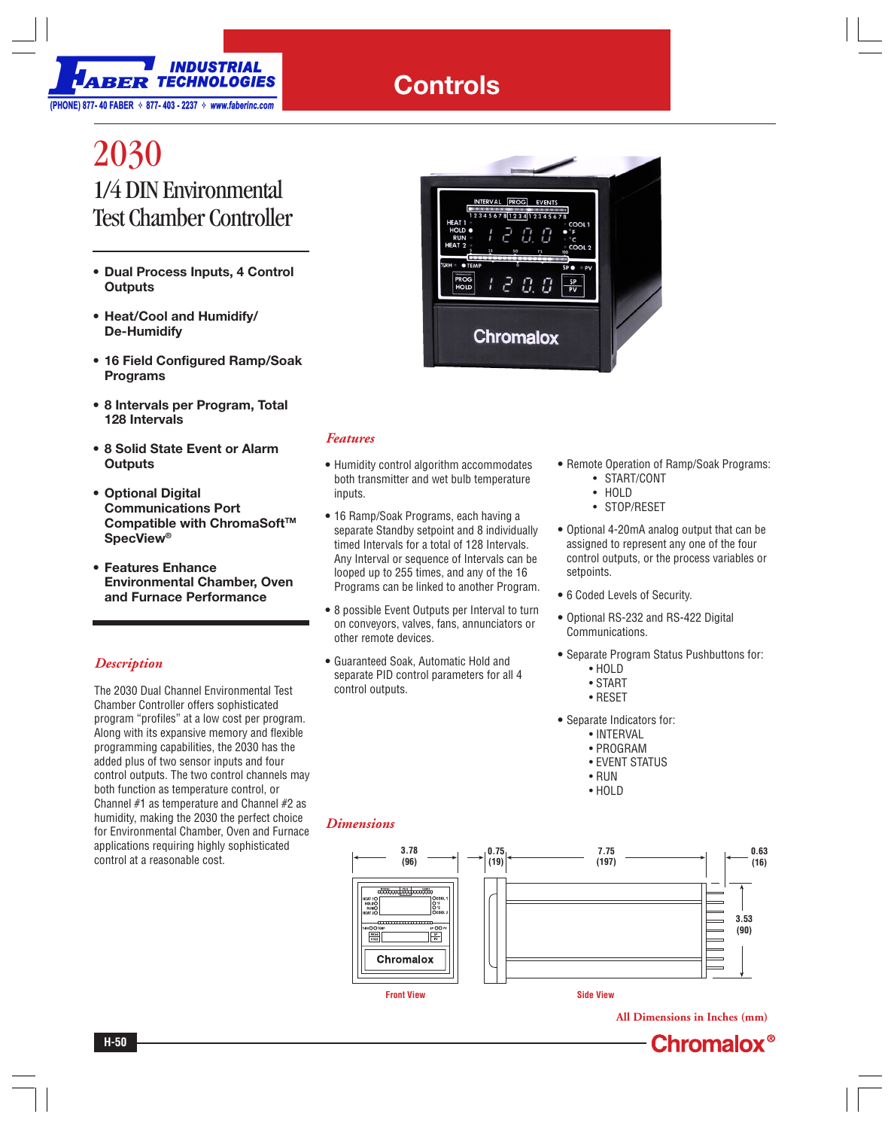

## **Controls**

# 2030 1/4 DIN Environmental Test Chamber Controller

- **Dual Process Inputs, 4 Control Outputs**
- **Heat/Cool and Humidify/ De-Humidify**
- **16 Field Configured Ramp/Soak Programs**
- **8 Intervals per Program, Total 128 Intervals**
- **8 Solid State Event or Alarm Outputs**
- **Optional Digital Communications Port** Compatible with ChromaSoft<sup>™</sup> **SpecView®**
- **Features Enhance Environmental Chamber, Oven and Furnace Performance**

### *Description*

The 2030 Dual Channel Environmental Test Chamber Controller offers sophisticated program "profiles" at a low cost per program. Along with its expansive memory and flexible programming capabilities, the 2030 has the added plus of two sensor inputs and four control outputs. The two control channels may both function as temperature control, or Channel #1 as temperature and Channel #2 as humidity, making the 2030 the perfect choice for Environmental Chamber, Oven and Furnace applications requiring highly sophisticated control at a reasonable cost.



#### *Features*

- **•** Humidity control algorithm accommodates both transmitter and wet bulb temperature inputs.
- **•** 16 Ramp/Soak Programs, each having a separate Standby setpoint and 8 individually timed Intervals for a total of 128 Intervals. Any Interval or sequence of Intervals can be looped up to 255 times, and any of the 16 Programs can be linked to another Program.
- **•** 8 possible Event Outputs per Interval to turn on conveyors, valves, fans, annunciators or other remote devices.
- **•** Guaranteed Soak, Automatic Hold and separate PID control parameters for all 4 control outputs.
- **•** Remote Operation of Ramp/Soak Programs: • START/CONT
	- HOLD
	- STOP/RESET
- **•** Optional 4-20mA analog output that can be assigned to represent any one of the four control outputs, or the process variables or setpoints.
- **•** 6 Coded Levels of Security.
- **•** Optional RS-232 and RS-422 Digital Communications.
- **•** Separate Program Status Pushbuttons for:
	- HOLD
	- START
	- RESET
- **•** Separate Indicators for:
	- INTERVAL
	- PROGRAM
	- EVENT STATUS
	- RUN
	- HOLD

### *Dimensions*



**All Dimensions in Inches (mm)**

**Chromalox**<sup>®</sup>